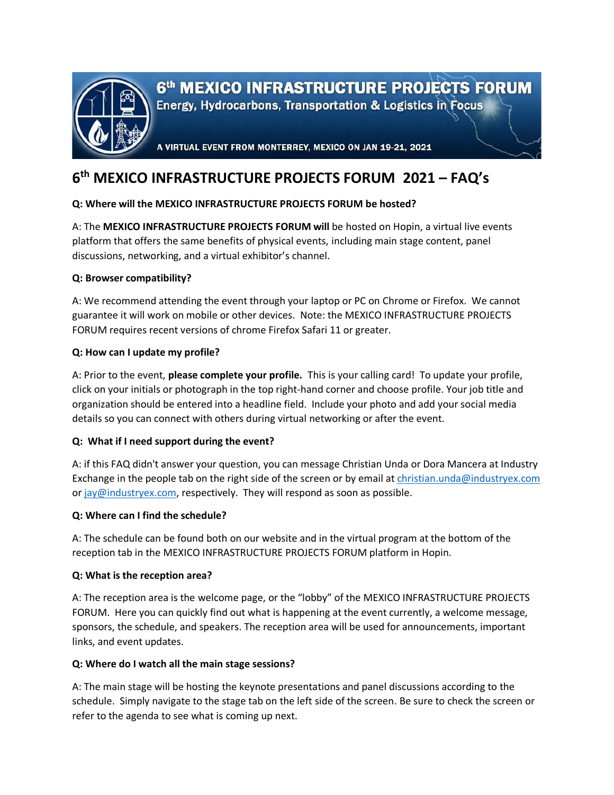

6<sup>th</sup> MEXICO INFRASTRUCTURE PROJECTS FORUM

Energy, Hydrocarbons, Transportation & Logistics in Focus

A VIRTUAL EVENT FROM MONTERREY, MEXICO ON JAN 19-21, 2021

# **6 th MEXICO INFRASTRUCTURE PROJECTS FORUM 2021 – FAQ's**

# **Q: Where will the MEXICO INFRASTRUCTURE PROJECTS FORUM be hosted?**

A: The **MEXICO INFRASTRUCTURE PROJECTS FORUM will** be hosted on Hopin, a virtual live events platform that offers the same benefits of physical events, including main stage content, panel discussions, networking, and a virtual exhibitor's channel.

# **Q: Browser compatibility?**

A: We recommend attending the event through your laptop or PC on Chrome or Firefox. We cannot guarantee it will work on mobile or other devices. Note: the MEXICO INFRASTRUCTURE PROJECTS FORUM requires recent versions of chrome Firefox Safari 11 or greater.

## **Q: How can I update my profile?**

A: Prior to the event, **please complete your profile.** This is your calling card! To update your profile, click on your initials or photograph in the top right-hand corner and choose profile. Your job title and organization should be entered into a headline field. Include your photo and add your social media details so you can connect with others during virtual networking or after the event.

# **Q: What if I need support during the event?**

A: if this FAQ didn't answer your question, you can message Christian Unda or Dora Mancera at Industry Exchange in the people tab on the right side of the screen or by email at [christian.unda@industryex.com](mailto:christian.unda@industryex.com) or [jay@industryex.com,](mailto:jay@industryex.com) respectively. They will respond as soon as possible.

#### **Q: Where can I find the schedule?**

A: The schedule can be found both on our website and in the virtual program at the bottom of the reception tab in the MEXICO INFRASTRUCTURE PROJECTS FORUM platform in Hopin.

#### **Q: What is the reception area?**

A: The reception area is the welcome page, or the "lobby" of the MEXICO INFRASTRUCTURE PROJECTS FORUM. Here you can quickly find out what is happening at the event currently, a welcome message, sponsors, the schedule, and speakers. The reception area will be used for announcements, important links, and event updates.

#### **Q: Where do I watch all the main stage sessions?**

A: The main stage will be hosting the keynote presentations and panel discussions according to the schedule. Simply navigate to the stage tab on the left side of the screen. Be sure to check the screen or refer to the agenda to see what is coming up next.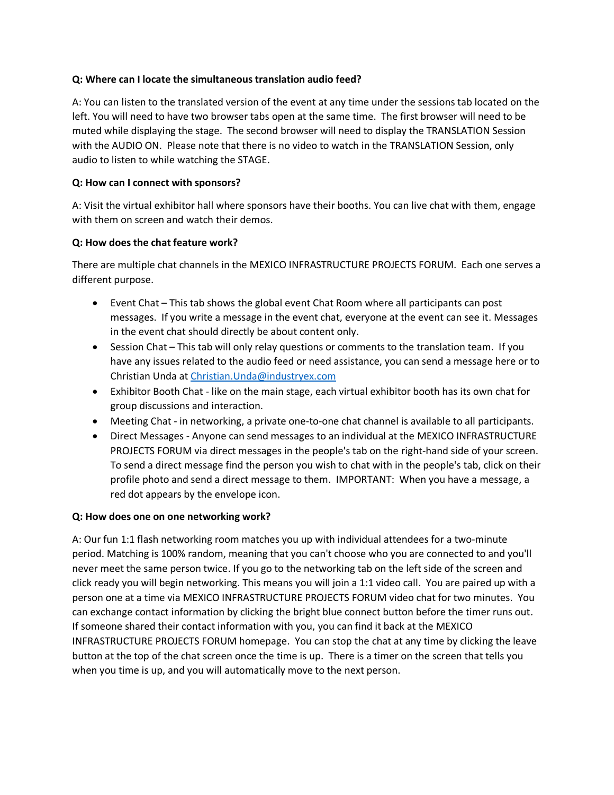## **Q: Where can I locate the simultaneous translation audio feed?**

A: You can listen to the translated version of the event at any time under the sessions tab located on the left. You will need to have two browser tabs open at the same time. The first browser will need to be muted while displaying the stage. The second browser will need to display the TRANSLATION Session with the AUDIO ON. Please note that there is no video to watch in the TRANSLATION Session, only audio to listen to while watching the STAGE.

## **Q: How can I connect with sponsors?**

A: Visit the virtual exhibitor hall where sponsors have their booths. You can live chat with them, engage with them on screen and watch their demos.

## **Q: How does the chat feature work?**

There are multiple chat channels in the MEXICO INFRASTRUCTURE PROJECTS FORUM. Each one serves a different purpose.

- Event Chat This tab shows the global event Chat Room where all participants can post messages. If you write a message in the event chat, everyone at the event can see it. Messages in the event chat should directly be about content only.
- Session Chat This tab will only relay questions or comments to the translation team. If you have any issues related to the audio feed or need assistance, you can send a message here or to Christian Unda at [Christian.Unda@industryex.com](mailto:Christian.Unda@industryex.com)
- Exhibitor Booth Chat like on the main stage, each virtual exhibitor booth has its own chat for group discussions and interaction.
- Meeting Chat in networking, a private one-to-one chat channel is available to all participants.
- Direct Messages Anyone can send messages to an individual at the MEXICO INFRASTRUCTURE PROJECTS FORUM via direct messages in the people's tab on the right-hand side of your screen. To send a direct message find the person you wish to chat with in the people's tab, click on their profile photo and send a direct message to them. IMPORTANT: When you have a message, a red dot appears by the envelope icon.

#### **Q: How does one on one networking work?**

A: Our fun 1:1 flash networking room matches you up with individual attendees for a two-minute period. Matching is 100% random, meaning that you can't choose who you are connected to and you'll never meet the same person twice. If you go to the networking tab on the left side of the screen and click ready you will begin networking. This means you will join a 1:1 video call. You are paired up with a person one at a time via MEXICO INFRASTRUCTURE PROJECTS FORUM video chat for two minutes. You can exchange contact information by clicking the bright blue connect button before the timer runs out. If someone shared their contact information with you, you can find it back at the MEXICO INFRASTRUCTURE PROJECTS FORUM homepage. You can stop the chat at any time by clicking the leave button at the top of the chat screen once the time is up. There is a timer on the screen that tells you when you time is up, and you will automatically move to the next person.